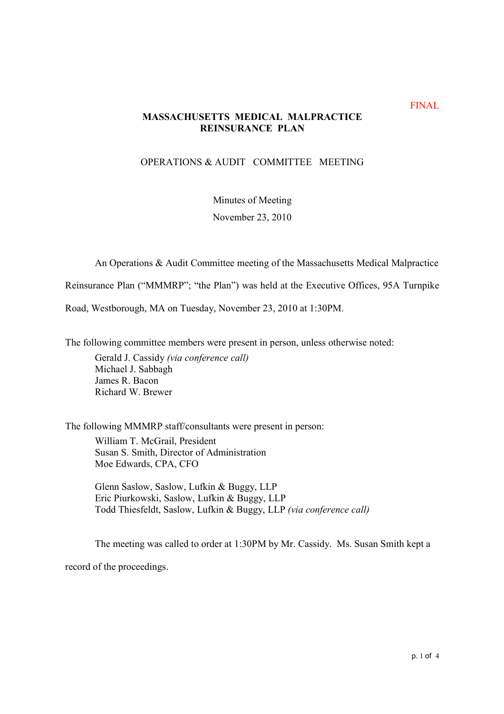## **MASSACHUSETTS MEDICAL MALPRACTICE REINSURANCE PLAN**

## OPERATIONS & AUDIT COMMITTEE MEETING

Minutes of Meeting

November 23, 2010

An Operations & Audit Committee meeting of the Massachusetts Medical Malpractice

Reinsurance Plan ("MMMRP"; "the Plan") was held at the Executive Offices, 95A Turnpike

Road, Westborough, MA on Tuesday, November 23, 2010 at 1:30PM.

The following committee members were present in person, unless otherwise noted:

Gerald J. Cassidy (via conference call) Michael J. Sabbagh James R. Bacon Richard W. Brewer

The following MMMRP staff/consultants were present in person:

William T. McGrail, President Susan S. Smith, Director of Administration Moe Edwards, CPA, CFO

Glenn Saslow, Saslow, Lufkin & Buggy, LLP Eric Piurkowski, Saslow, Lufkin & Buggy, LLP Todd Thiesfeldt, Saslow, Lufkin & Buggy, LLP (via conference call)

The meeting was called to order at 1:30PM by Mr. Cassidy. Ms. Susan Smith kept a record of the proceedings.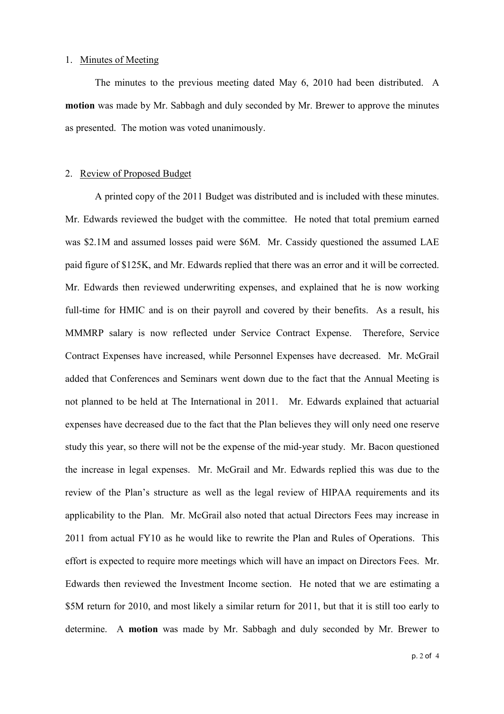#### 1. Minutes of Meeting

The minutes to the previous meeting dated May 6, 2010 had been distributed. A **motion** was made by Mr. Sabbagh and duly seconded by Mr. Brewer to approve the minutes as presented. The motion was voted unanimously.

#### 2. Review of Proposed Budget

A printed copy of the 2011 Budget was distributed and is included with these minutes. Mr. Edwards reviewed the budget with the committee. He noted that total premium earned was \$2.1M and assumed losses paid were \$6M. Mr. Cassidy questioned the assumed LAE paid figure of \$125K, and Mr. Edwards replied that there was an error and it will be corrected. Mr. Edwards then reviewed underwriting expenses, and explained that he is now working full-time for HMIC and is on their payroll and covered by their benefits. As a result, his MMMRP salary is now reflected under Service Contract Expense. Therefore, Service Contract Expenses have increased, while Personnel Expenses have decreased. Mr. McGrail added that Conferences and Seminars went down due to the fact that the Annual Meeting is not planned to be held at The International in 2011. Mr. Edwards explained that actuarial expenses have decreased due to the fact that the Plan believes they will only need one reserve study this year, so there will not be the expense of the mid-year study. Mr. Bacon questioned the increase in legal expenses. Mr. McGrail and Mr. Edwards replied this was due to the review of the Plan's structure as well as the legal review of HIPAA requirements and its applicability to the Plan. Mr. McGrail also noted that actual Directors Fees may increase in 2011 from actual FY10 as he would like to rewrite the Plan and Rules of Operations. This effort is expected to require more meetings which will have an impact on Directors Fees. Mr. Edwards then reviewed the Investment Income section. He noted that we are estimating a \$5M return for 2010, and most likely a similar return for 2011, but that it is still too early to determine. A **motion** was made by Mr. Sabbagh and duly seconded by Mr. Brewer to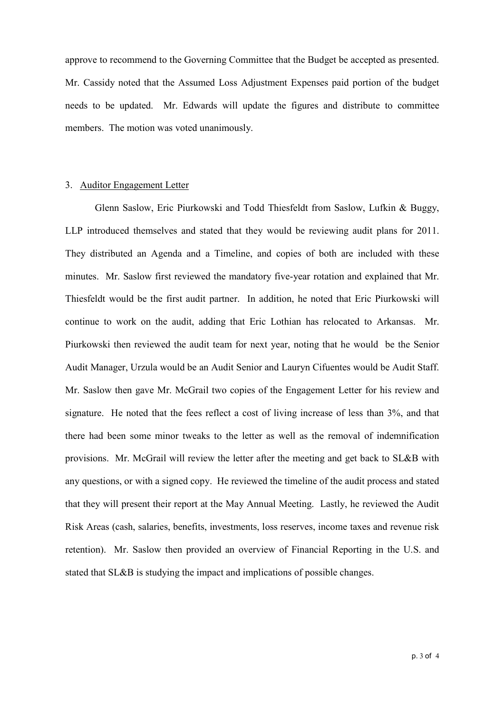approve to recommend to the Governing Committee that the Budget be accepted as presented. Mr. Cassidy noted that the Assumed Loss Adjustment Expenses paid portion of the budget needs to be updated. Mr. Edwards will update the figures and distribute to committee members. The motion was voted unanimously.

#### 3. Auditor Engagement Letter

Glenn Saslow, Eric Piurkowski and Todd Thiesfeldt from Saslow, Lufkin & Buggy, LLP introduced themselves and stated that they would be reviewing audit plans for 2011. They distributed an Agenda and a Timeline, and copies of both are included with these minutes. Mr. Saslow first reviewed the mandatory five-year rotation and explained that Mr. Thiesfeldt would be the first audit partner. In addition, he noted that Eric Piurkowski will continue to work on the audit, adding that Eric Lothian has relocated to Arkansas. Mr. Piurkowski then reviewed the audit team for next year, noting that he would be the Senior Audit Manager, Urzula would be an Audit Senior and Lauryn Cifuentes would be Audit Staff. Mr. Saslow then gave Mr. McGrail two copies of the Engagement Letter for his review and signature. He noted that the fees reflect a cost of living increase of less than 3%, and that there had been some minor tweaks to the letter as well as the removal of indemnification provisions. Mr. McGrail will review the letter after the meeting and get back to SL&B with any questions, or with a signed copy. He reviewed the timeline of the audit process and stated that they will present their report at the May Annual Meeting. Lastly, he reviewed the Audit Risk Areas (cash, salaries, benefits, investments, loss reserves, income taxes and revenue risk retention). Mr. Saslow then provided an overview of Financial Reporting in the U.S. and stated that SL&B is studying the impact and implications of possible changes.